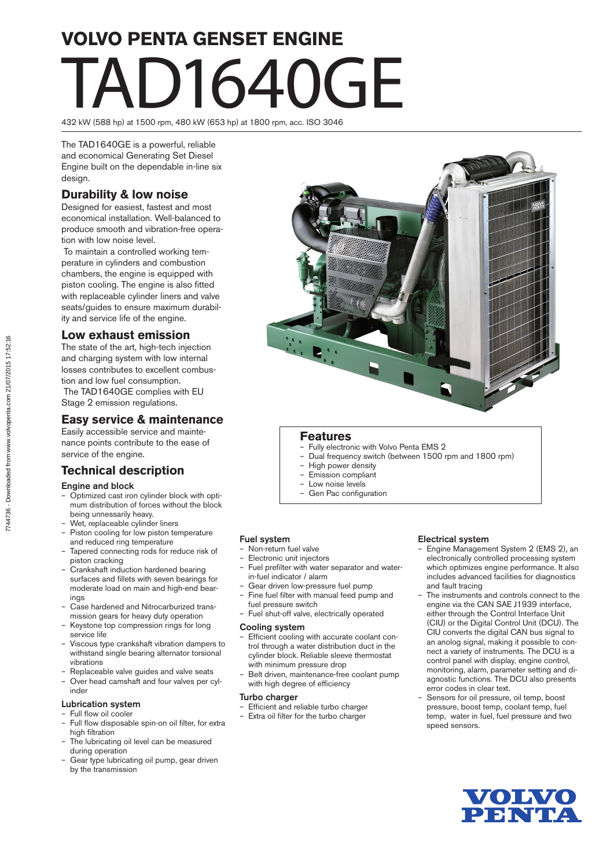# **VOLVO PENTA GENSET ENGINE** TAD1640GE

432 kW (588 hp) at 1500 rpm, 480 kW (653 hp) at 1800 rpm, acc. ISO 3046

The TAD1640GE is a powerful, reliable and economical Generating Set Diesel Engine built on the dependable in-line six design.

# **Durability & low noise**

Designed for easiest, fastest and most economical installation. Well-balanced to produce smooth and vibration-free operation with low noise level.

 To maintain a controlled working temperature in cylinders and combustion chambers, the engine is equipped with piston cooling. The engine is also fitted with replaceable cylinder liners and valve seats/guides to ensure maximum durability and service life of the engine.

### **Low exhaust emission**

The state of the art, high-tech injection and charging system with low internal losses contributes to excellent combustion and low fuel consumption. The TAD1640GE complies with EU Stage 2 emission regulations.

## **Easy service & maintenance**

Easily accessible service and maintenance points contribute to the ease of service of the engine.

- **Technical description** Engine and block
- Optimized cast iron cylinder block with optimum distribution of forces without the block
- being unnessarily heavy. – Wet, replaceable cylinder liners
- Piston cooling for low piston temperature
- and reduced ring temperature – Tapered connecting rods for reduce risk of piston cracking
- Crankshaft induction hardened bearing surfaces and fillets with seven bearings for moderate load on main and high-end bearings
- Case hardened and Nitrocarburized transmission gears for heavy duty operation
- Keystone top compression rings for long service life
- Viscous type crankshaft vibration dampers to withstand single bearing alternator torsional vibrations
- Replaceable valve guides and valve seats
- Over head camshaft and four valves per cylinder

#### Lubrication system

- Full flow oil cooler – Full flow disposable spin-on oil filter, for extra
- high filtration The lubricating oil level can be measured during operation
- Gear type lubricating oil pump, gear driven by the transmission



#### **Features**

- Fully electronic with Volvo Penta EMS 2
- Dual frequency switch (between 1500 rpm and 1800 rpm)
- High power density
- Emission compliant
- Low noise levels
- Gen Pac configuration

#### Fuel system

- Non-return fuel valve
- Electronic unit injectors
- Fuel prefilter with water separator and waterin-fuel indicator / alarm
- Gear driven low-pressure fuel pump
- Fine fuel filter with manual feed pump and fuel pressure switch
- Fuel shut-off valve, electrically operated

#### Cooling system

- Efficient cooling with accurate coolant control through a water distribution duct in the cylinder block. Reliable sleeve thermostat with minimum pressure drop
- Belt driven, maintenance-free coolant pump with high degree of efficiency

#### Turbo charger

- Efficient and reliable turbo charger
- Extra oil filter for the turbo charger

#### Electrical system

- Engine Management System 2 (EMS 2), an electronically controlled processing system which optimizes engine performance. It also includes advanced facilities for diagnostics and fault tracing
- The instruments and controls connect to the engine via the CAN SAE J1939 interface, either through the Control Interface Unit (CIU) or the Digital Control Unit (DCU). The CIU converts the digital CAN bus signal to an anolog signal, making it possible to connect a variety of instruments. The DCU is a control panel with display, engine control, monitoring, alarm, parameter setting and diagnostic functions. The DCU also presents error codes in clear text.
- Sensors for oil pressure, oil temp, boost pressure, boost temp, coolant temp, fuel temp, water in fuel, fuel pressure and two speed sensors.